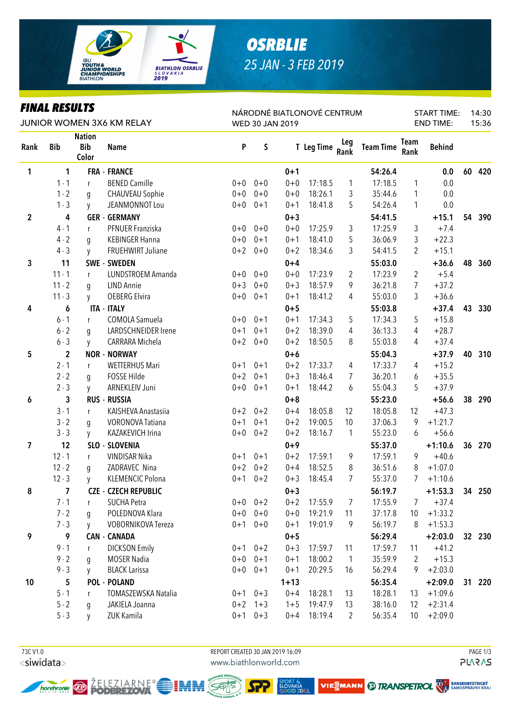

# **OSRBLIE** 25 JAN - 3 FEB 2019

### **FINAL RESULTS**

| <u>FINAL KEƏVLIƏ</u><br>JUNIOR WOMEN 3X6 KM RELAY |                |                                      |                            | NÁRODNÉ BIATLONOVÉ CENTRUM<br>WED 30 JAN 2019 |             |          |            |                |                  |                     | <b>START TIME:</b><br><b>END TIME:</b> |    | 14:30<br>15:36 |
|---------------------------------------------------|----------------|--------------------------------------|----------------------------|-----------------------------------------------|-------------|----------|------------|----------------|------------------|---------------------|----------------------------------------|----|----------------|
| Rank                                              | <b>Bib</b>     | <b>Nation</b><br><b>Bib</b><br>Color | <b>Name</b>                | P                                             | S           |          | T Leg Time | Leg<br>Rank    | <b>Team Time</b> | <b>Team</b><br>Rank | <b>Behind</b>                          |    |                |
| 1                                                 | 1              |                                      | <b>FRA - FRANCE</b>        |                                               |             | $0 + 1$  |            |                | 54:26.4          |                     | 0.0                                    | 60 | 420            |
|                                                   | $1 - 1$        | r                                    | <b>BENED Camille</b>       | $0 + 0$                                       | $0 + 0$     | $0 + 0$  | 17:18.5    | 1              | 17:18.5          | 1                   | 0.0                                    |    |                |
|                                                   | $1 - 2$        | g                                    | <b>CHAUVEAU Sophie</b>     | $0+0$                                         | $0 + 0$     | $0 + 0$  | 18:26.1    | 3              | 35:44.6          | $\mathbf{1}$        | 0.0                                    |    |                |
|                                                   | $1 - 3$        | y                                    | JEANMONNOT Lou             | $0+0$                                         | $0 + 1$     | $0 + 1$  | 18:41.8    | 5              | 54:26.4          | 1                   | 0.0                                    |    |                |
| $\mathbf 2$                                       | 4              |                                      | <b>GER - GERMANY</b>       |                                               |             | $0 + 3$  |            |                | 54:41.5          |                     | $+15.1$                                | 54 | 390            |
|                                                   | $4 - 1$        | r                                    | PFNUER Franziska           | $0+0$                                         | $0 + 0$     | $0 + 0$  | 17:25.9    | 3              | 17:25.9          | 3                   | $+7.4$                                 |    |                |
|                                                   | $4 - 2$        | g                                    | <b>KEBINGER Hanna</b>      | $0 + 0$                                       | $0 + 1$     | $0 + 1$  | 18:41.0    | 5              | 36:06.9          | 3                   | $+22.3$                                |    |                |
|                                                   | $4 - 3$        | y                                    | FRUEHWIRT Juliane          | $0 + 2$                                       | $0 + 0$     | $0 + 2$  | 18:34.6    | 3              | 54:41.5          | 2                   | $+15.1$                                |    |                |
| 3                                                 | 11             |                                      | <b>SWE - SWEDEN</b>        |                                               |             | $0 + 4$  |            |                | 55:03.0          |                     | $+36.6$                                | 48 | 360            |
|                                                   | $11 - 1$       | r                                    | LUNDSTROEM Amanda          | $0 + 0$                                       | $0 + 0$     | $0 + 0$  | 17:23.9    | $\overline{2}$ | 17:23.9          | 2                   | $+5.4$                                 |    |                |
|                                                   | $11 - 2$       | g                                    | <b>LIND Annie</b>          | $0 + 3$                                       | $0 + 0$     | $0 + 3$  | 18:57.9    | 9              | 36:21.8          | 7                   | $+37.2$                                |    |                |
|                                                   | $11 - 3$       | y                                    | <b>OEBERG Elvira</b>       | $0 + 0$                                       | $0 + 1$     | $0 + 1$  | 18:41.2    | 4              | 55:03.0          | 3                   | $+36.6$                                |    |                |
| 4                                                 | 6              |                                      | <b>ITA - ITALY</b>         |                                               |             | $0 + 5$  |            |                | 55:03.8          |                     | $+37.4$                                | 43 | 330            |
|                                                   | $6 - 1$        | r                                    | COMOLA Samuela             | $0 + 0$                                       | $0 + 1$     | $0 + 1$  | 17:34.3    | 5              | 17:34.3          | 5                   | $+15.8$                                |    |                |
|                                                   | $6 - 2$        | q                                    | <b>LARDSCHNEIDER Irene</b> | $0 + 1$                                       | $0 + 1$     | $0 + 2$  | 18:39.0    | 4              | 36:13.3          | 4                   | $+28.7$                                |    |                |
|                                                   | $6 - 3$        | y                                    | CARRARA Michela            | $0 + 2$                                       | $0 + 0$     | $0 + 2$  | 18:50.5    | 8              | 55:03.8          | 4                   | $+37.4$                                |    |                |
| 5                                                 | $\mathbf{2}$   |                                      | <b>NOR - NORWAY</b>        |                                               |             | $0 + 6$  |            |                | 55:04.3          |                     | $+37.9$                                | 40 | 310            |
|                                                   | $2 - 1$        | r                                    | <b>WETTERHUS Mari</b>      | $0 + 1$                                       | $0 + 1$     | $0 + 2$  | 17:33.7    | 4              | 17:33.7          | 4                   | $+15.2$                                |    |                |
|                                                   | $2 - 2$        | q                                    | FOSSE Hilde                | $0 + 2$                                       | $0 + 1$     | $0 + 3$  | 18:46.4    | 7              | 36:20.1          | 6                   | $+35.5$                                |    |                |
|                                                   | $2 - 3$        | V                                    | ARNEKLEIV Juni             | $0+0$                                         | $0 + 1$     | $0 + 1$  | 18:44.2    | 6              | 55:04.3          | 5                   | $+37.9$                                |    |                |
| 6                                                 | 3              |                                      | <b>RUS - RUSSIA</b>        |                                               |             | $0 + 8$  |            |                | 55:23.0          |                     | $+56.6$                                | 38 | 290            |
|                                                   | $3 - 1$        | r                                    | KAISHEVA Anastasiia        | $0 + 2$                                       | $0 + 2$     | $0 + 4$  | 18:05.8    | 12             | 18:05.8          | 12                  | $+47.3$                                |    |                |
|                                                   | $3 - 2$        | g                                    | <b>VORONOVA Tatiana</b>    | $0 + 1$                                       | $0 + 1$     | $0 + 2$  | 19:00.5    | 10             | 37:06.3          | 9                   | $+1:21.7$                              |    |                |
|                                                   | $3 - 3$        | y                                    | KAZAKEVICH Irina           | $0 + 0$                                       | $0 + 2$     | $0 + 2$  | 18:16.7    | $\mathbf{1}$   | 55:23.0          | 6                   | $+56.6$                                |    |                |
| 7                                                 | 12             |                                      | SLO - SLOVENIA             |                                               |             | $0 + 9$  |            |                | 55:37.0          |                     | $+1:10.6$                              | 36 | 270            |
|                                                   | $12 - 1$       | r                                    | <b>VINDISAR Nika</b>       | $0 + 1$                                       | $0 + 1$     | $0 + 2$  | 17:59.1    | 9              | 17:59.1          | 9                   | $+40.6$                                |    |                |
|                                                   | $12 - 2$       | q                                    | ZADRAVEC Nina              | $0 + 2$                                       | $0 + 2$     | $0 + 4$  | 18:52.5    | 8              | 36:51.6          | 8                   | $+1:07.0$                              |    |                |
|                                                   | $12 - 3$       | <b>V</b>                             | <b>KLEMENCIC Polona</b>    | $0 + 1$                                       | $0 + 2$     | $0 + 3$  | 18:45.4    | 7              | 55:37.0          | 7                   | $+1:10.6$                              |    |                |
| 8                                                 | $\overline{7}$ |                                      | C7F - C7FCH REPUBLIC       |                                               |             | $0 + 3$  |            |                | 56:19.7          |                     | $+1:53.3$ 34 250                       |    |                |
|                                                   | $7 - 1$        | r                                    | <b>SUCHA Petra</b>         |                                               | $0+0$ $0+2$ | $0 + 2$  | 17:55.9    | 7              | 17:55.9          | 7                   | $+37.4$                                |    |                |
|                                                   | $7 - 2$        | g                                    | POLEDNOVA Klara            | $0+0$                                         | $0 + 0$     | $0 + 0$  | 19:21.9    | 11             | 37:17.8          | 10                  | $+1:33.2$                              |    |                |
|                                                   | $7 - 3$        | y                                    | VOBORNIKOVA Tereza         | $0 + 1$                                       | $0 + 0$     | $0 + 1$  | 19:01.9    | 9              | 56:19.7          | 8                   | $+1:53.3$                              |    |                |
| 9                                                 | 9              |                                      | <b>CAN - CANADA</b>        |                                               |             | $0 + 5$  |            |                | 56:29.4          |                     | $+2:03.0$                              |    | 32 230         |
|                                                   | $9 - 1$        | r                                    | <b>DICKSON Emily</b>       |                                               | $0+1$ $0+2$ | $0 + 3$  | 17:59.7    | 11             | 17:59.7          | 11                  | $+41.2$                                |    |                |
|                                                   | $9 - 2$        | g                                    | <b>MOSER Nadia</b>         | $0 + 0$                                       | $0 + 1$     | $0 + 1$  | 18:00.2    | $\mathbf{1}$   | 35:59.9          | 2                   | $+15.3$                                |    |                |
|                                                   | $9 - 3$        | y                                    | <b>BLACK Larissa</b>       | $0+0$                                         | $0 + 1$     | $0 + 1$  | 20:29.5    | 16             | 56:29.4          | 9                   | $+2:03.0$                              |    |                |
| 10                                                | 5              |                                      | <b>POL - POLAND</b>        |                                               |             | $1 + 13$ |            |                | 56:35.4          |                     | $+2:09.0$                              |    | 31 220         |
|                                                   | $5 - 1$        | r                                    | TOMASZEWSKA Natalia        |                                               | $0+1$ $0+3$ | $0 + 4$  | 18:28.1    | 13             | 18:28.1          | 13                  | $+1:09.6$                              |    |                |
|                                                   | $5 - 2$        | g                                    | JAKIELA Joanna             |                                               | $0+2$ 1+3   | $1 + 5$  | 19:47.9    | 13             | 38:16.0          | 12                  | $+2:31.4$                              |    |                |
|                                                   | $5 - 3$        | <b>y</b>                             | ZUK Kamila                 | $0 + 1$                                       | $0 + 3$     | $0 + 4$  | 18:19.4    | $\overline{2}$ | 56:35.4          | 10 <sup>°</sup>     | $+2:09.0$                              |    |                |

73C V1.0 <siwidata> REPORT CREATED 30 JAN 2019 16:09 www.biathlonworld.com

MRA

SEPS



ŽELEZIARNE®

SPORT &<br><mark>SLOVAKIA</mark><br>GOOD I**D**  $\mathbf{v}$ 

$$
\mathbf{E}\mathbf{S}\mathbf{M}\mathbf{ANN} \bigcirc \mathbf{B}
$$

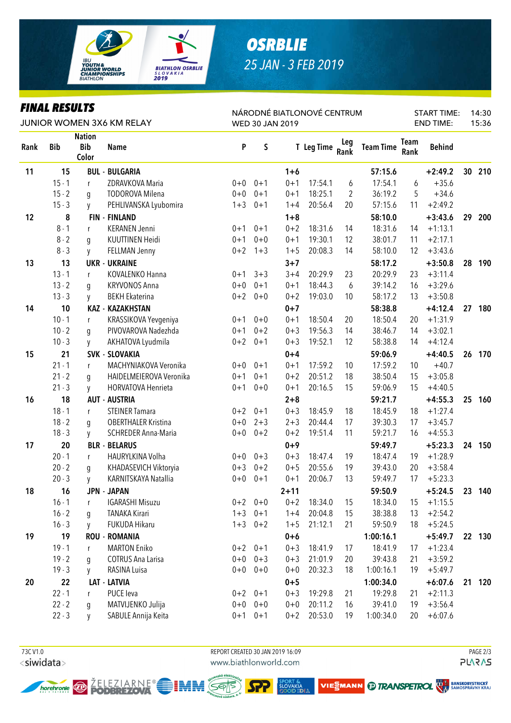

# *OSRBLIE 25 JAN - 3 FEB 2019*

### *FINAL RESULTS*

|      | FINAL KEƏVLIƏ |                                      |                            | NÁRODNÉ BIATLONOVÉ CENTRUM |             | <b>START TIME:</b> |            | 14:30       |                  |                     |                  |    |        |
|------|---------------|--------------------------------------|----------------------------|----------------------------|-------------|--------------------|------------|-------------|------------------|---------------------|------------------|----|--------|
|      |               |                                      | JUNIOR WOMEN 3X6 KM RELAY  | WED 30 JAN 2019            |             |                    |            |             |                  |                     | <b>END TIME:</b> |    |        |
| Rank | <b>Bib</b>    | <b>Nation</b><br><b>Bib</b><br>Color | <b>Name</b>                | $\boldsymbol{\mathsf{P}}$  | $\sf S$     |                    | T Leg Time | Leg<br>Rank | <b>Team Time</b> | <b>Team</b><br>Rank | <b>Behind</b>    |    |        |
| 11   | 15            |                                      | <b>BUL - BULGARIA</b>      |                            |             | $1 + 6$            |            |             | 57:15.6          |                     | $+2:49.2$        | 30 | 210    |
|      | $15 - 1$      | r                                    | ZDRAVKOVA Maria            | $0 + 0$                    | $0 + 1$     | $0 + 1$            | 17:54.1    | 6           | 17:54.1          | 6                   | $+35.6$          |    |        |
|      | $15 - 2$      | q                                    | <b>TODOROVA Milena</b>     | $0 + 0$                    | $0 + 1$     | $0 + 1$            | 18:25.1    | 2           | 36:19.2          | 5                   | $+34.6$          |    |        |
|      | $15 - 3$      | <b>y</b>                             | PEHLIVANSKA Lyubomira      | $1 + 3$                    | $0 + 1$     | $1 + 4$            | 20:56.4    | 20          | 57:15.6          | 11                  | $+2:49.2$        |    |        |
| 12   | 8             |                                      | <b>FIN - FINLAND</b>       |                            |             | $1 + 8$            |            |             | 58:10.0          |                     | $+3:43.6$        | 29 | 200    |
|      | $8 - 1$       | r                                    | <b>KERANEN Jenni</b>       | $0 + 1$                    | $0 + 1$     | $0 + 2$            | 18:31.6    | 14          | 18:31.6          | 14                  | $+1:13.1$        |    |        |
|      | $8 - 2$       | g                                    | KUUTTINEN Heidi            | $0 + 1$                    | $0 + 0$     | $0 + 1$            | 19:30.1    | 12          | 38:01.7          | 11                  | $+2:17.1$        |    |        |
|      | $8 - 3$       | y                                    | FELLMAN Jenny              | $0 + 2$                    | $1 + 3$     | $1 + 5$            | 20:08.3    | 14          | 58:10.0          | 12                  | $+3:43.6$        |    |        |
| 13   | 13            |                                      | <b>UKR - UKRAINE</b>       |                            |             | $3 + 7$            |            |             | 58:17.2          |                     | $+3:50.8$        | 28 | 190    |
|      | $13 - 1$      | r                                    | KOVALENKO Hanna            | $0 + 1$                    | $3 + 3$     | $3 + 4$            | 20:29.9    | 23          | 20:29.9          | 23                  | $+3:11.4$        |    |        |
|      | $13 - 2$      | g                                    | <b>KRYVONOS Anna</b>       | $0 + 0$                    | $0 + 1$     | $0 + 1$            | 18:44.3    | 6           | 39:14.2          | 16                  | $+3:29.6$        |    |        |
|      | $13 - 3$      | y                                    | <b>BEKH Ekaterina</b>      | $0 + 2$                    | $0 + 0$     | $0 + 2$            | 19:03.0    | 10          | 58:17.2          | 13                  | $+3:50.8$        |    |        |
| 14   | 10            |                                      | <b>KAZ - KAZAKHSTAN</b>    |                            |             | $0 + 7$            |            |             | 58:38.8          |                     | $+4:12.4$        | 27 | 180    |
|      | $10 - 1$      | r                                    | KRASSIKOVA Yevgeniya       | $0 + 1$                    | $0 + 0$     | $0 + 1$            | 18:50.4    | 20          | 18:50.4          | 20                  | $+1:31.9$        |    |        |
|      | $10 - 2$      | g                                    | PIVOVAROVA Nadezhda        | $0 + 1$                    | $0 + 2$     | $0 + 3$            | 19:56.3    | 14          | 38:46.7          | 14                  | $+3:02.1$        |    |        |
|      | $10 - 3$      | y                                    | AKHATOVA Lyudmila          | $0 + 2$                    | $0 + 1$     | $0 + 3$            | 19:52.1    | 12          | 58:38.8          | 14                  | $+4:12.4$        |    |        |
| 15   | 21            |                                      | <b>SVK - SLOVAKIA</b>      |                            |             | $0 + 4$            |            |             | 59:06.9          |                     | $+4:40.5$        | 26 | 170    |
|      | $21 - 1$      | r                                    | MACHYNIAKOVA Veronika      | $0 + 0$                    | $0 + 1$     | $0 + 1$            | 17:59.2    | 10          | 17:59.2          | 10                  | $+40.7$          |    |        |
|      | $21 - 2$      | q                                    | HAIDELMEIEROVA Veronika    | $0 + 1$                    | $0 + 1$     | $0 + 2$            | 20:51.2    | 18          | 38:50.4          | 15                  | $+3:05.8$        |    |        |
|      | $21 - 3$      | y                                    | HORVATOVA Henrieta         | $0 + 1$                    | $0 + 0$     | $0 + 1$            | 20:16.5    | 15          | 59:06.9          | 15                  | $+4:40.5$        |    |        |
| 16   | 18            |                                      | <b>AUT - AUSTRIA</b>       |                            |             | $2 + 8$            |            |             | 59:21.7          |                     | $+4:55.3$        | 25 | 160    |
|      | $18 - 1$      | r                                    | <b>STEINER Tamara</b>      | $0 + 2$                    | $0 + 1$     | $0 + 3$            | 18:45.9    | 18          | 18:45.9          | 18                  | $+1:27.4$        |    |        |
|      | $18 - 2$      | q                                    | <b>OBERTHALER Kristina</b> | $0 + 0$                    | $2 + 3$     | $2 + 3$            | 20:44.4    | 17          | 39:30.3          | 17                  | $+3:45.7$        |    |        |
|      | $18 - 3$      | y                                    | SCHREDER Anna-Maria        | $0 + 0$                    | $0 + 2$     | $0 + 2$            | 19:51.4    | 11          | 59:21.7          | 16                  | $+4:55.3$        |    |        |
| 17   | 20            |                                      | <b>BLR - BELARUS</b>       |                            |             | $0 + 9$            |            |             | 59:49.7          |                     | $+5:23.3$        | 24 | 150    |
|      | $20 - 1$      | r                                    | HAURYLKINA Volha           | $0 + 0$                    | $0 + 3$     | $0 + 3$            | 18:47.4    | 19          | 18:47.4          | 19                  | $+1:28.9$        |    |        |
|      | $20 - 2$      | g                                    | KHADASEVICH Viktoryia      | $0 + 3$                    | $0 + 2$     | $0 + 5$            | 20:55.6    | 19          | 39:43.0          | 20                  | $+3:58.4$        |    |        |
|      | $20 - 3$      | V                                    | KARNITSKAYA Natallia       | $0 + 0$                    | $0 + 1$     | $0 + 1$            | 20:06.7    | 13          | 59:49.7          | 17                  | $+5:23.3$        |    |        |
| 18   | 16            |                                      | <b>JPN - JAPAN</b>         |                            |             | $2 + 11$           |            |             | 59:50.9          |                     | $+5:24.5$        |    | 23 140 |
|      | $16 - 1$      | r                                    | <b>IGARASHI Misuzu</b>     |                            | $0+2$ 0+0   | $0 + 2$            | 18:34.0    | 15          | 18:34.0          | 15                  | $+1:15.5$        |    |        |
|      | $16 - 2$      | g                                    | <b>TANAKA Kirari</b>       | $1 + 3$                    | $0 + 1$     | $1 + 4$            | 20:04.8    | 15          | 38:38.8          | 13                  | $+2:54.2$        |    |        |
|      | $16 - 3$      | y                                    | FUKUDA Hikaru              | $1 + 3$                    | $0 + 2$     | $1 + 5$            | 21:12.1    | 21          | 59:50.9          | 18                  | $+5:24.5$        |    |        |
| 19   | 19            |                                      | <b>ROU - ROMANIA</b>       |                            |             | $0+6$              |            |             | 1:00:16.1        |                     | $+5:49.7$        |    | 22 130 |
|      | $19 - 1$      | $\mathsf{r}$                         | <b>MARTON Eniko</b>        | $0 + 2$                    | $0 + 1$     | $0 + 3$            | 18:41.9    | 17          | 18:41.9          | 17                  | $+1:23.4$        |    |        |
|      | $19 - 2$      | g                                    | <b>COTRUS Ana Larisa</b>   | $0+0$                      | $0 + 3$     | $0 + 3$            | 21:01.9    | 20          | 39:43.8          | 21                  | $+3:59.2$        |    |        |
|      | $19 - 3$      | y                                    | RASINA Luisa               |                            | $0+0$ $0+0$ | $0 + 0$            | 20:32.3    | 18          | 1:00:16.1        | 19                  | $+5:49.7$        |    |        |
| 20   | 22            |                                      | LAT - LATVIA               |                            |             | $0 + 5$            |            |             | 1:00:34.0        |                     | $+6:07.6$        |    | 21 120 |
|      | $22 - 1$      | r                                    | PUCE leva                  |                            | $0+2$ 0+1   | $0 + 3$            | 19:29.8    | 21          | 19:29.8          | 21                  | $+2:11.3$        |    |        |
|      | $22 - 2$      | q                                    | MATVIJENKO Julija          | $0+0$                      | $0 + 0$     | $0 + 0$            | 20:11.2    | 16          | 39:41.0          | 19                  | $+3:56.4$        |    |        |
|      | $22 - 3$      | y                                    | SABULE Annija Keita        | $0 + 1$                    | $0 + 1$     | $0 + 2$            | 20:53.0    | 19          | 1:00:34.0        | 20                  | $+6:07.6$        |    |        |

<siwidata>

 73C V1.0 REPORT CREATED 30 JAN 2019 16:09 PAGE 2/3www.biathlonworld.com

MNA

SEPS

**PLARAS** 



ŽELEZIARNE®